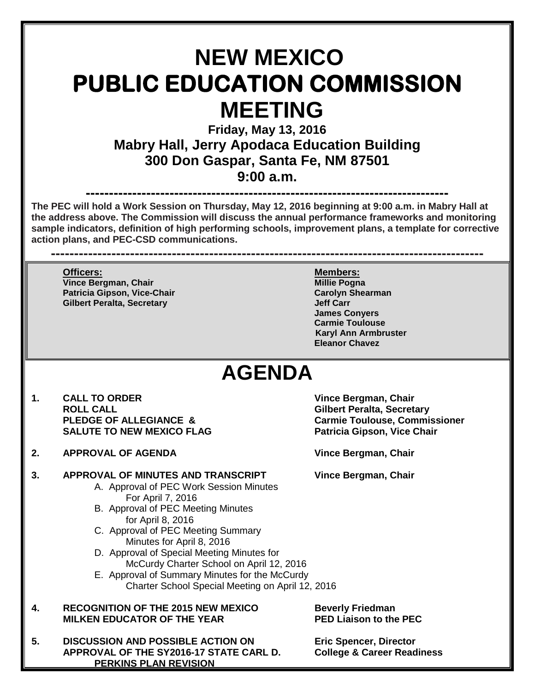# **NEW MEXICO PUBLIC EDUCATION COMMISSION MEETING**

**Friday, May 13, 2016 Mabry Hall, Jerry Apodaca Education Building 300 Don Gaspar, Santa Fe, NM 87501 9:00 a.m.**

**------------------------------------------------------------------------------ The PEC will hold a Work Session on Thursday, May 12, 2016 beginning at 9:00 a.m. in Mabry Hall at the address above. The Commission will discuss the annual performance frameworks and monitoring sample indicators, definition of high performing schools, improvement plans, a template for corrective action plans, and PEC-CSD communications.**

**---------------------------------------------------------------------------------------------**

**Officers: Members: Vince Bergman, Chair Patricia Gipson, Vice-Chair Carolyn Shearman Gilbert Peralta, Secretary** 

**James Conyers Carmie Toulouse Karyl Ann Armbruster Eleanor Chavez**

## **AGENDA**

- **1. CALL TO ORDER Vince Bergman, Chair ROLL CALL Gilbert Peralta, Secretary SALUTE TO NEW MEXICO FLAG**
- **2. APPROVAL OF AGENDA Vince Bergman, Chair**

### **3. APPROVAL OF MINUTES AND TRANSCRIPT Vince Bergman, Chair**

- A. Approval of PEC Work Session Minutes For April 7, 2016
- B. Approval of PEC Meeting Minutes for April 8, 2016
- C. Approval of PEC Meeting Summary Minutes for April 8, 2016
- D. Approval of Special Meeting Minutes for McCurdy Charter School on April 12, 2016
- E. Approval of Summary Minutes for the McCurdy Charter School Special Meeting on April 12, 2016
- **4. RECOGNITION OF THE 2015 NEW MEXICO Beverly Friedman MILKEN EDUCATOR OF THE YEAR**
- **5. DISCUSSION AND POSSIBLE ACTION ON Eric Spencer, Director APPROVAL OF THE SY2016-17 STATE CARL D. PERKINS PLAN REVISION**

**Carmie Toulouse, Commissioner<br>Patricia Gipson, Vice Chair**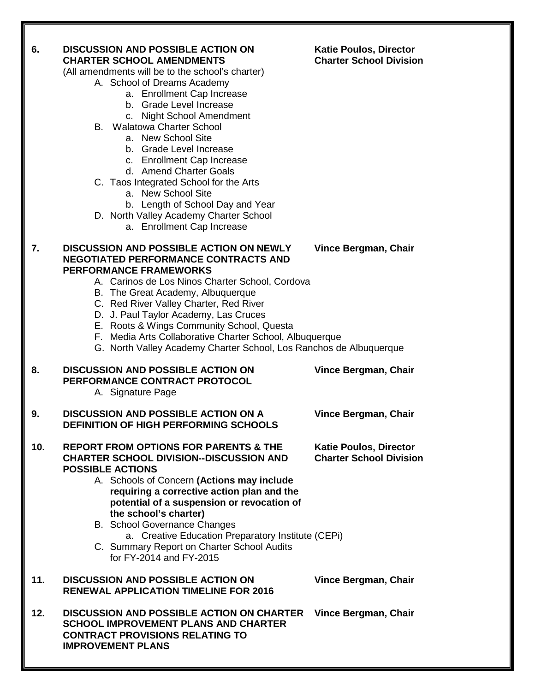#### **6. DISCUSSION AND POSSIBLE ACTION ON Katie Poulos, Director**<br>CHARTER SCHOOL AMENDMENTS **Charter School Division CHARTER SCHOOL AMENDMENTS Charter School Division**

(All amendments will be to the school's charter)

- A. School of Dreams Academy
	- a. Enrollment Cap Increase
	- b. Grade Level Increase
	- c. Night School Amendment
- B. Walatowa Charter School
	- a. New School Site
		- b. Grade Level Increase
		- c. Enrollment Cap Increase
		- d. Amend Charter Goals
- C. Taos Integrated School for the Arts
	- a. New School Site
	- b. Length of School Day and Year
- D. North Valley Academy Charter School
	- a. Enrollment Cap Increase

### **7. DISCUSSION AND POSSIBLE ACTION ON NEWLY Vince Bergman, Chair NEGOTIATED PERFORMANCE CONTRACTS AND PERFORMANCE FRAMEWORKS**

- A. Carinos de Los Ninos Charter School, Cordova
- B. The Great Academy, Albuquerque
- C. Red River Valley Charter, Red River
- D. J. Paul Taylor Academy, Las Cruces
- E. Roots & Wings Community School, Questa
- F. Media Arts Collaborative Charter School, Albuquerque
- G. North Valley Academy Charter School, Los Ranchos de Albuquerque

### **8. DISCUSSION AND POSSIBLE ACTION ON Vince Bergman, Chair PERFORMANCE CONTRACT PROTOCOL**

A. Signature Page

#### **9. DISCUSSION AND POSSIBLE ACTION ON A Vince Bergman, Chair DEFINITION OF HIGH PERFORMING SCHOOLS**

#### **10. REPORT FROM OPTIONS FOR PARENTS & THE Katie Poulos, Director CHARTER SCHOOL DIVISION--DISCUSSION AND Charter School Division POSSIBLE ACTIONS**

- A. Schools of Concern **(Actions may include requiring a corrective action plan and the potential of a suspension or revocation of the school's charter)**
- B. School Governance Changes a. Creative Education Preparatory Institute (CEPi)
- C. Summary Report on Charter School Audits for FY-2014 and FY-2015

### **11. DISCUSSION AND POSSIBLE ACTION ON Vince Bergman, Chair RENEWAL APPLICATION TIMELINE FOR 2016**

**12. DISCUSSION AND POSSIBLE ACTION ON CHARTER Vince Bergman, Chair SCHOOL IMPROVEMENT PLANS AND CHARTER CONTRACT PROVISIONS RELATING TO IMPROVEMENT PLANS**